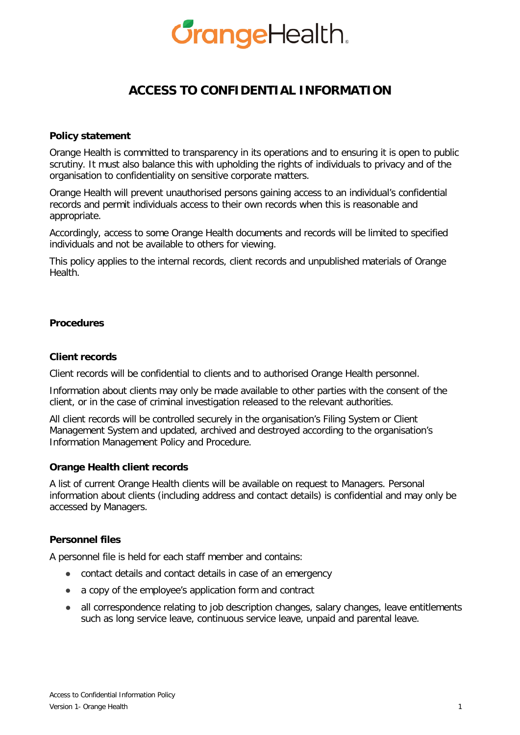# *GrangeHealth.*

# **ACCESS TO CONFIDENTIAL INFORMATION**

# **Policy statement**

Orange Health is committed to transparency in its operations and to ensuring it is open to public scrutiny. It must also balance this with upholding the rights of individuals to privacy and of the organisation to confidentiality on sensitive corporate matters.

Orange Health will prevent unauthorised persons gaining access to an individual's confidential records and permit individuals access to their own records when this is reasonable and appropriate.

Accordingly, access to some Orange Health documents and records will be limited to specified individuals and not be available to others for viewing.

This policy applies to the internal records, client records and unpublished materials of Orange Health.

#### **Procedures**

#### **Client records**

Client records will be confidential to clients and to authorised Orange Health personnel.

Information about clients may only be made available to other parties with the consent of the client, or in the case of criminal investigation released to the relevant authorities.

All client records will be controlled securely in the organisation's Filing System or Client Management System and updated, archived and destroyed according to the organisation's Information Management Policy and Procedure.

#### **Orange Health client records**

A list of current Orange Health clients will be available on request to Managers. Personal information about clients (including address and contact details) is confidential and may only be accessed by Managers.

#### **Personnel files**

A personnel file is held for each staff member and contains:

- contact details and contact details in case of an emergency
- a copy of the employee's application form and contract
- all correspondence relating to job description changes, salary changes, leave entitlements such as long service leave, continuous service leave, unpaid and parental leave.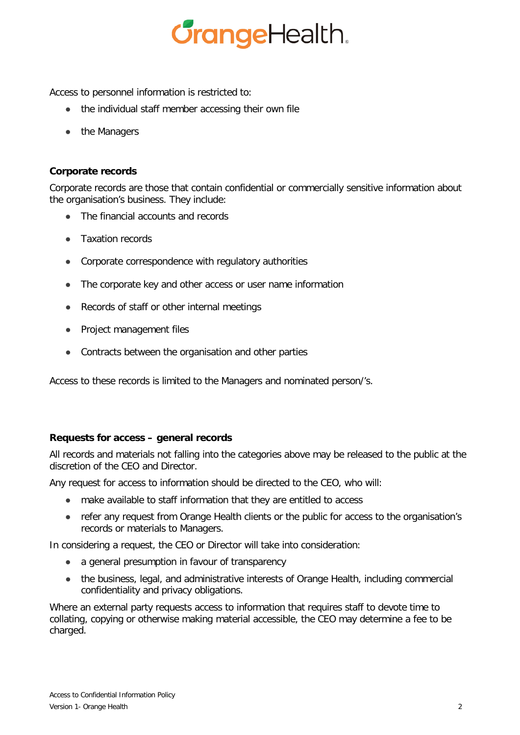

Access to personnel information is restricted to:

- the individual staff member accessing their own file
- the Managers

# **Corporate records**

Corporate records are those that contain confidential or commercially sensitive information about the organisation's business. They include:

- The financial accounts and records
- Taxation records
- Corporate correspondence with regulatory authorities
- The corporate key and other access or user name information
- Records of staff or other internal meetings
- Project management files
- Contracts between the organisation and other parties

Access to these records is limited to the Managers and nominated person/'s.

#### **Requests for access – general records**

All records and materials not falling into the categories above may be released to the public at the discretion of the CEO and Director.

Any request for access to information should be directed to the CEO, who will:

- make available to staff information that they are entitled to access
- refer any request from Orange Health clients or the public for access to the organisation's records or materials to Managers.

In considering a request, the CEO or Director will take into consideration:

- a general presumption in favour of transparency
- the business, legal, and administrative interests of Orange Health, including commercial confidentiality and privacy obligations.

Where an external party requests access to information that requires staff to devote time to collating, copying or otherwise making material accessible, the CEO may determine a fee to be charged.